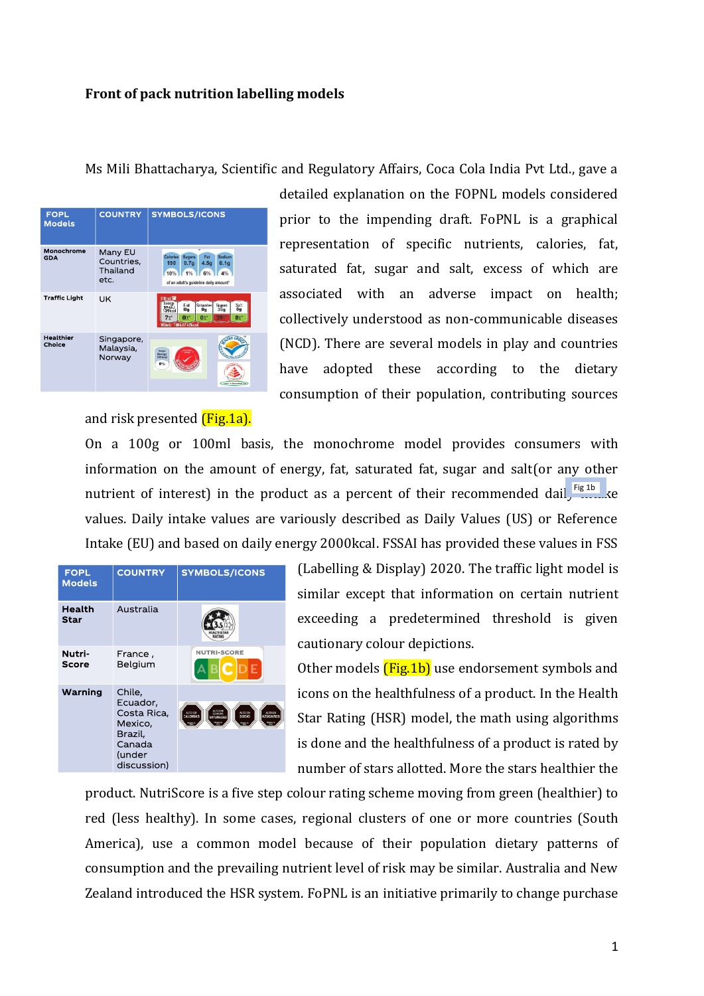## **Front of pack nutrition labelling models**

## Ms Mili Bhattacharya, Scientific and Regulatory Affairs, Coca Cola India Pvt Ltd., gave a



detailed explanation on the FOPNL models considered prior to the impending draft. FoPNL is a graphical representation of specific nutrients, calories, fat, saturated fat, sugar and salt, excess of which are associated with an adverse impact on health; collectively understood as non-communicable diseases (NCD). There are several models in play and countries have adopted these according to the dietary consumption of their population, contributing sources

and risk presented *(Fig.1a)*.

On a 100g or 100ml basis, the monochrome model provides consumers with information on the amount of energy, fat, saturated fat, sugar and salt(or any other nutrient of interest) in the product as a percent of their recommended dail,  $\frac{Fig1b}{1}$ values. Daily intake values are variously described as Daily Values (US) or Reference Intake (EU) and based on daily energy 2000kcal. FSSAI has provided these values in FSS

| <b>FOPL</b><br><b>Models</b> | <b>COUNTRY</b>                                                                             | <b>SYMBOLS/ICONS</b>                    |
|------------------------------|--------------------------------------------------------------------------------------------|-----------------------------------------|
| Health<br><b>Star</b>        | Australia                                                                                  |                                         |
| Nutri-<br><b>Score</b>       | France ,<br>Belgium                                                                        | <b>NUTRI-SCORE</b><br><b>BCDE</b>       |
| Warning                      | Chile,<br>Ecuador,<br>Costa Rica,<br>Mexico,<br>Brazil,<br>Canada<br>(under<br>discussion) | ALTO EN<br>ALTO EN<br>ALTOEN<br>ALTO EN |

(Labelling & Display) 2020. The traffic light model is similar except that information on certain nutrient exceeding a predetermined threshold is given cautionary colour depictions.

Other models **(Fig.1b)** use endorsement symbols and icons on the healthfulness of a product. In the Health Star Rating (HSR) model, the math using algorithms is done and the healthfulness of a product is rated by number of stars allotted. More the stars healthier the

product. NutriScore is a five step colour rating scheme moving from green (healthier) to red (less healthy). In some cases, regional clusters of one or more countries (South America), use a common model because of their population dietary patterns of consumption and the prevailing nutrient level of risk may be similar. Australia and New Zealand introduced the HSR system. FoPNL is an initiative primarily to change purchase